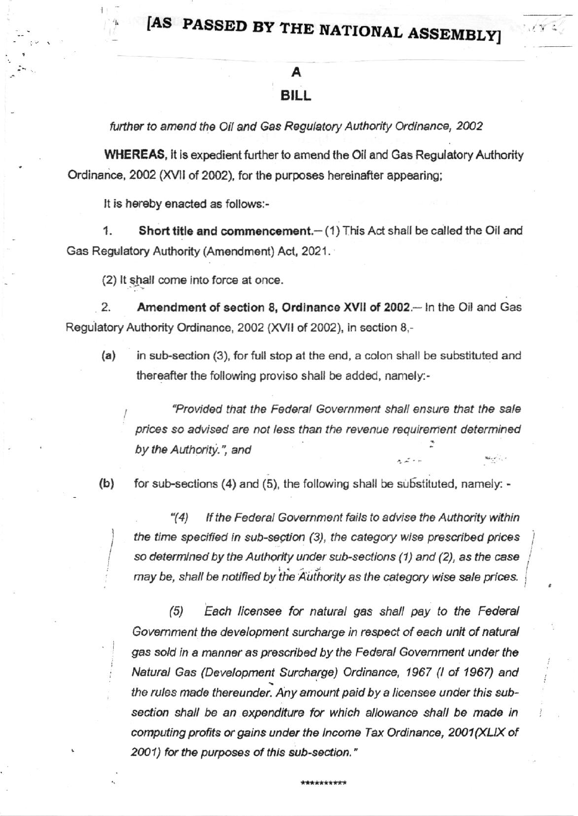## [AS PASSED BY THE NATIONAL ASSEMBLY]

## **BILL**

further to amend the Oil and Gas Regulatory Authority Ordinance, 2002

**WHEREAS.** It is expedient further to amend the Oil and Gas Regulatory Authority Ordinance, 2002 (XVII of 2002), for the purposes hereinafter appearing;

It is hereby enacted as follows:-

1. Short title and commencement.- (1) This Act shall be called the Oil and Gas Regulatory Authority (Amendment) Act, 2021.

(2) It shall come into force at once.

2. Amendment of section 8, Ordinance XVII of 2002.- In the Oil and Gas Regulatory Authority Ordinance, 2002 (XVII of 2002), in section 8,-

 $(a)$ in sub-section (3), for full stop at the end, a colon shall be substituted and thereafter the following proviso shall be added, namely:-

"Provided that the Federal Government shall ensure that the sale prices so advised are not less than the revenue requirement determined by the Authority.", and

 $(b)$ for sub-sections (4) and (5), the following shall be substituted, namely: -

 $(4)$ If the Federal Government fails to advise the Authority within the time specified in sub-section (3), the category wise prescribed prices so determined by the Authority under sub-sections (1) and (2), as the case may be, shall be notified by the Authority as the category wise sale prices.

 $(5)$ Each licensee for natural gas shall pay to the Federal Government the development surcharge in respect of each unit of natural gas sold in a manner as prescribed by the Federal Government under the Natural Gas (Development Surcharge) Ordinance, 1967 (I of 1967) and the rules made thereunder. Any amount paid by a licensee under this subsection shall be an expenditure for which allowance shall be made in computing profits or gains under the Income Tax Ordinance, 2001(XLIX of 2001) for the purposes of this sub-section."

\*\*\*\*\*\*\*\*\*\*